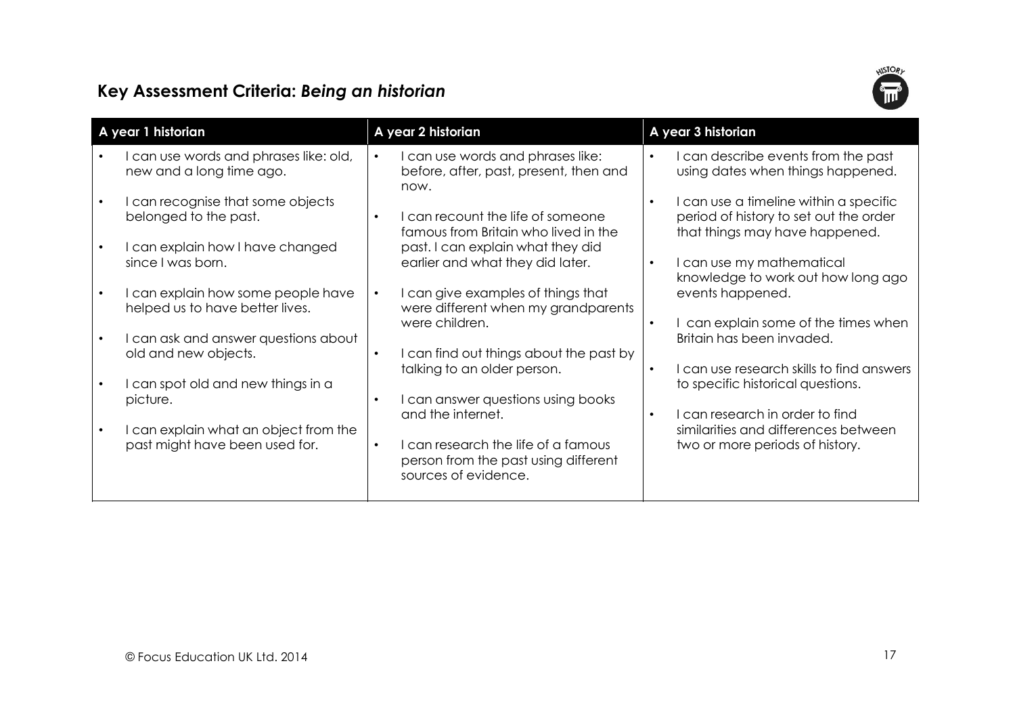## **WSTORY**

## Key Assessment Criteria: Being an historian

| A year 1 historian                                                      | A year 2 historian                                                                                            | A year 3 historian                                                                                                    |  |
|-------------------------------------------------------------------------|---------------------------------------------------------------------------------------------------------------|-----------------------------------------------------------------------------------------------------------------------|--|
| can use words and phrases like: old,<br>new and a long time ago.        | I can use words and phrases like:<br>$\bullet$<br>before, after, past, present, then and<br>now.              | can describe events from the past<br>using dates when things happened.                                                |  |
| I can recognise that some objects<br>belonged to the past.              | can recount the life of someone<br>famous from Britain who lived in the                                       | I can use a timeline within a specific<br>period of history to set out the order<br>that things may have happened.    |  |
| I can explain how I have changed<br>since I was born.                   | past. I can explain what they did<br>earlier and what they did later.                                         | I can use my mathematical<br>$\bullet$<br>knowledge to work out how long ago                                          |  |
| I can explain how some people have<br>helped us to have better lives.   | I can give examples of things that<br>$\bullet$<br>were different when my grandparents<br>were children.      | events happened.<br>can explain some of the times when                                                                |  |
| I can ask and answer questions about<br>old and new objects.            | I can find out things about the past by<br>$\bullet$                                                          | Britain has been invaded.                                                                                             |  |
| I can spot old and new things in a<br>picture.                          | talking to an older person.<br>I can answer questions using books                                             | I can use research skills to find answers<br>to specific historical questions.                                        |  |
| I can explain what an object from the<br>past might have been used for. | and the internet.<br>I can research the life of a famous<br>$\bullet$<br>person from the past using different | can research in order to find<br>$\bullet$<br>similarities and differences between<br>two or more periods of history. |  |
|                                                                         | sources of evidence.                                                                                          |                                                                                                                       |  |